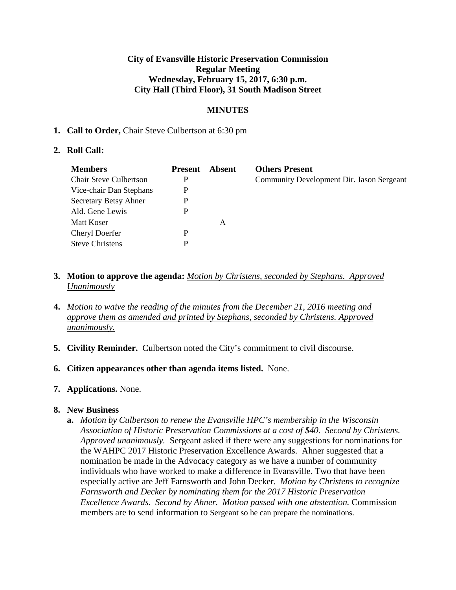## **City of Evansville Historic Preservation Commission Regular Meeting Wednesday, February 15, 2017, 6:30 p.m. City Hall (Third Floor), 31 South Madison Street**

# **MINUTES**

#### **1. Call to Order,** Chair Steve Culbertson at 6:30 pm

#### **2. Roll Call:**

| <b>Members</b>                | <b>Present</b> | Absent | <b>Others Present</b>                     |
|-------------------------------|----------------|--------|-------------------------------------------|
| <b>Chair Steve Culbertson</b> | P              |        | Community Development Dir. Jason Sergeant |
| Vice-chair Dan Stephans       | P              |        |                                           |
| Secretary Betsy Ahner         | P              |        |                                           |
| Ald. Gene Lewis               | P              |        |                                           |
| Matt Koser                    |                | A      |                                           |
| <b>Cheryl Doerfer</b>         | P              |        |                                           |
| <b>Steve Christens</b>        | D              |        |                                           |

- **3. Motion to approve the agenda:** *Motion by Christens, seconded by Stephans. Approved Unanimously*
- **4.** *Motion to waive the reading of the minutes from the December 21, 2016 meeting and approve them as amended and printed by Stephans, seconded by Christens. Approved unanimously.*
- **5. Civility Reminder.** Culbertson noted the City's commitment to civil discourse.
- **6. Citizen appearances other than agenda items listed.** None.

#### **7. Applications.** None.

#### **8. New Business**

**a.** *Motion by Culbertson to renew the Evansville HPC's membership in the Wisconsin Association of Historic Preservation Commissions at a cost of \$40. Second by Christens. Approved unanimously.* Sergeant asked if there were any suggestions for nominations for the WAHPC 2017 Historic Preservation Excellence Awards. Ahner suggested that a nomination be made in the Advocacy category as we have a number of community individuals who have worked to make a difference in Evansville. Two that have been especially active are Jeff Farnsworth and John Decker. *Motion by Christens to recognize Farnsworth and Decker by nominating them for the 2017 Historic Preservation Excellence Awards. Second by Ahner. Motion passed with one abstention.* Commission members are to send information to Sergeant so he can prepare the nominations.